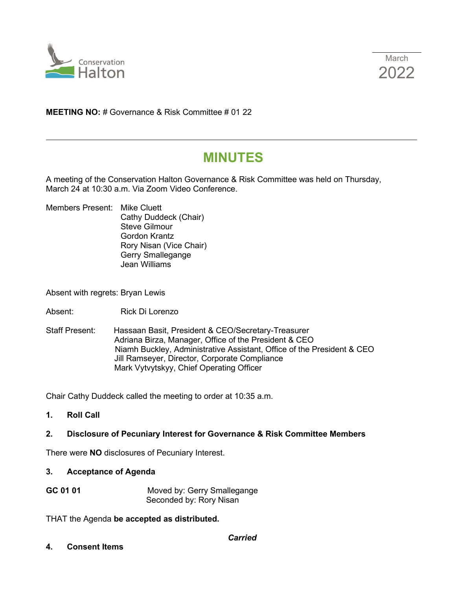



**MEETING NO:** # Governance & Risk Committee # 01 22

# **MINUTES**

A meeting of the Conservation Halton Governance & Risk Committee was held on Thursday, March 24 at 10:30 a.m. Via Zoom Video Conference.

Members Present: Mike Cluett Cathy Duddeck (Chair) Steve Gilmour Gordon Krantz Rory Nisan (Vice Chair) Gerry Smallegange Jean Williams

Absent with regrets: Bryan Lewis

- Absent: Rick Di Lorenzo
- Staff Present: Hassaan Basit, President & CEO/Secretary-Treasurer Adriana Birza, Manager, Office of the President & CEO Niamh Buckley, Administrative Assistant, Office of the President & CEO Jill Ramseyer, Director, Corporate Compliance Mark Vytvytskyy, Chief Operating Officer

Chair Cathy Duddeck called the meeting to order at 10:35 a.m.

**1. Roll Call**

## **2. Disclosure of Pecuniary Interest for Governance & Risk Committee Members**

There were **NO** disclosures of Pecuniary Interest.

#### **3. Acceptance of Agenda**

**GC 01 01** Moved by: Gerry Smallegange Seconded by: Rory Nisan

THAT the Agenda **be accepted as distributed.**

**4. Consent Items**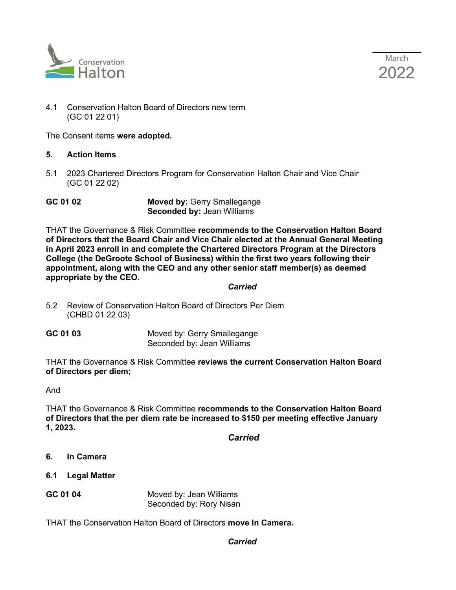



4.1 Conservation Halton Board of Directors new term (GC 01 22 01)

The Consent items **were adopted.** 

- **5. Action Items**
- 5.1 2023 Chartered Directors Program for Conservation Halton Chair and Vice Chair (GC 01 22 02)

**GC 01 02 Moved by:** Gerry Smallegange **Seconded by:** Jean Williams

THAT the Governance & Risk Committee **recommends to the Conservation Halton Board of Directors that the Board Chair and Vice Chair elected at the Annual General Meeting in April 2023 enroll in and complete the Chartered Directors Program at the Directors College (the DeGroote School of Business) within the first two years following their appointment, along with the CEO and any other senior staff member(s) as deemed appropriate by the CEO.**

#### *Carried*

- 5.2 Review of Conservation Halton Board of Directors Per Diem (CHBD 01 22 03)
- **GC 01 03** Moved by: Gerry Smallegange Seconded by: Jean Williams

THAT the Governance & Risk Committee **reviews the current Conservation Halton Board of Directors per diem;**

And

THAT the Governance & Risk Committee **recommends to the Conservation Halton Board of Directors that the per diem rate be increased to \$150 per meeting effective January 1, 2023.**

*Carried*

- **6. In Camera**
- **6.1 Legal Matter**
- **GC 01 04** Moved by: Jean Williams Seconded by: Rory Nisan

THAT the Conservation Halton Board of Directors **move In Camera.**

## *Carried*